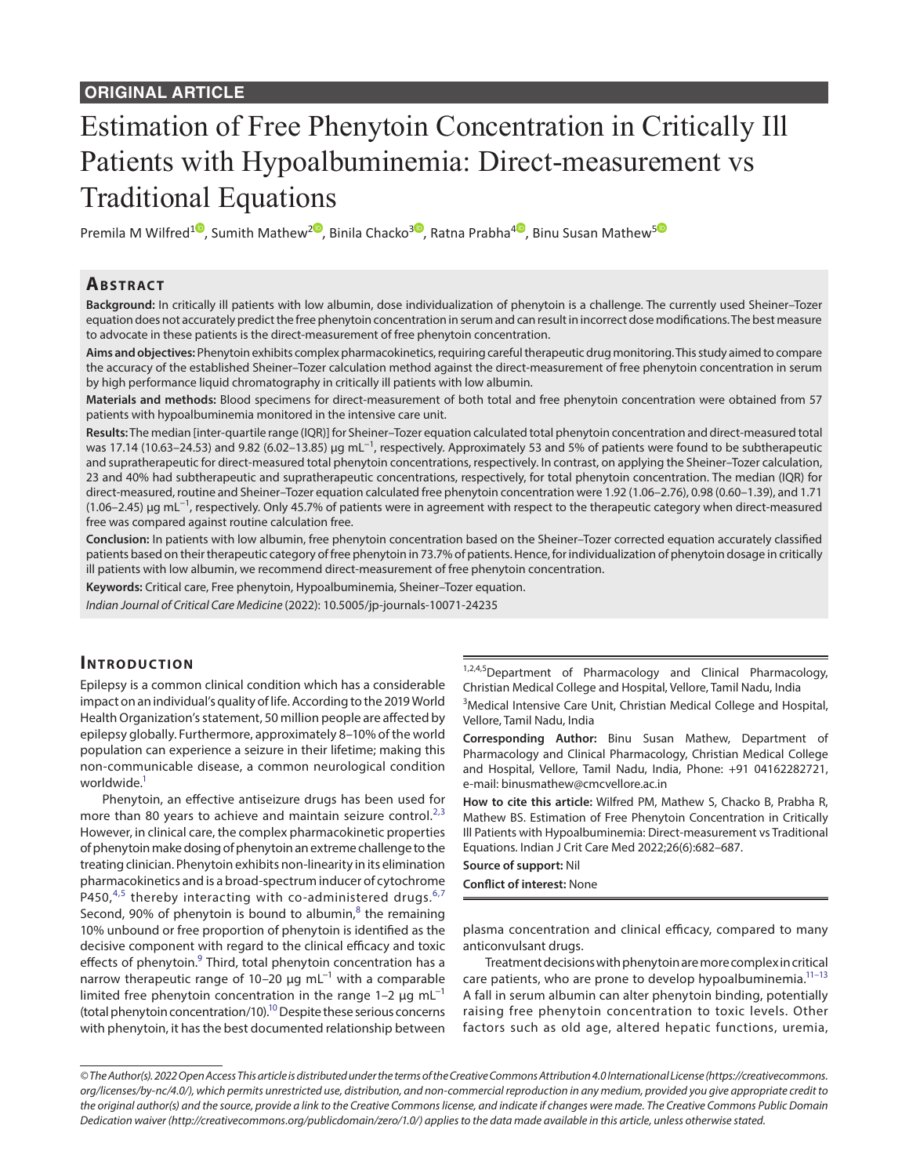# Estimation of Free Phenytoin Concentration in Critically Ill Patients with Hypoalbuminemia: Direct-measurement vs Traditional Equations

Premila M Wilfred<sup>1</sup><sup>®</sup>[,](https://orcid.org/0000-0002-0318-9617) Sumith Mathew<sup>[2](https://orcid.org/0000-0002-2993-2392)<sup>®</sup>, Binila Chacko<sup>[3](https://orcid.org/0000-0002-1609-2208)®</sup>, Ratna Prabha<sup>4®</sup>, Binu Susan Mathew<sup>[5](https://orcid.org/0000-0001-6532-1559)®</sup></sup>

# **Ab s t rac t**

**Background:** In critically ill patients with low albumin, dose individualization of phenytoin is a challenge. The currently used Sheiner–Tozer equation does not accurately predict the free phenytoin concentration in serum and can result in incorrect dose modifications. The best measure to advocate in these patients is the direct-measurement of free phenytoin concentration.

**Aims and objectives:** Phenytoin exhibits complex pharmacokinetics, requiring careful therapeutic drug monitoring. This study aimed to compare the accuracy of the established Sheiner–Tozer calculation method against the direct-measurement of free phenytoin concentration in serum by high performance liquid chromatography in critically ill patients with low albumin.

**Materials and methods:** Blood specimens for direct-measurement of both total and free phenytoin concentration were obtained from 57 patients with hypoalbuminemia monitored in the intensive care unit.

**Results:** The median [inter-quartile range (IQR)] for Sheiner–Tozer equation calculated total phenytoin concentration and direct-measured total was 17.14 (10.63–24.53) and 9.82 (6.02–13.85) μg mL<sup>−1</sup>, respectively. Approximately 53 and 5% of patients were found to be subtherapeutic and supratherapeutic for direct-measured total phenytoin concentrations, respectively. In contrast, on applying the Sheiner–Tozer calculation, 23 and 40% had subtherapeutic and supratherapeutic concentrations, respectively, for total phenytoin concentration. The median (IQR) for direct-measured, routine and Sheiner–Tozer equation calculated free phenytoin concentration were 1.92 (1.06–2.76), 0.98 (0.60–1.39), and 1.71 (1.06–2.45) μg mL−1, respectively. Only 45.7% of patients were in agreement with respect to the therapeutic category when direct-measured free was compared against routine calculation free.

**Conclusion:** In patients with low albumin, free phenytoin concentration based on the Sheiner–Tozer corrected equation accurately classified patients based on their therapeutic category of free phenytoin in 73.7% of patients. Hence, for individualization of phenytoin dosage in critically ill patients with low albumin, we recommend direct-measurement of free phenytoin concentration.

**Keywords:** Critical care, Free phenytoin, Hypoalbuminemia, Sheiner–Tozer equation.

*Indian Journal of Critical Care Medicine* (2022): 10.5005/jp-journals-10071-24235

# **INTRODUCTION**

Epilepsy is a common clinical condition which has a considerable impact on an individual's quality of life. According to the 2019 World Health Organization's statement, 50 million people are affected by epilepsy globally. Furthermore, approximately 8–10% of the world population can experience a seizure in their lifetime; making this non-communicable disease, a common neurological condition worldwide.<sup>1</sup>

Phenytoin, an effective antiseizure drugs has been used for more than 80 years to achieve and maintain seizure control. $2,3$  $2,3$  $2,3$ However, in clinical care, the complex pharmacokinetic properties of phenytoin make dosing of phenytoin an extreme challenge to the treating clinician. Phenytoin exhibits non-linearity in its elimination pharmacokinetics and is a broad-spectrum inducer of cytochrome P4[5](#page-4-4)0, $4.5$  thereby interacting with co-administered drugs. $6.7$  $6.7$  $6.7$ Second, 90% of phenytoin is bound to albumin, $^8$  $^8$  the remaining 10% unbound or free proportion of phenytoin is identified as the decisive component with regard to the clinical efficacy and toxic effects of phenytoin.<sup>9</sup> Third, total phenytoin concentration has a narrow therapeutic range of 10–20 μg mL<sup>-1</sup> with a comparable limited free phenytoin concentration in the range 1–2  $\mu$ g mL<sup>-1</sup> (total phenytoin concentration/10)[.10](#page-4-9) Despite these serious concerns with phenytoin, it has the best documented relationship between

1,2,4,5 Department of Pharmacology and Clinical Pharmacology, Christian Medical College and Hospital, Vellore, Tamil Nadu, India

<sup>3</sup>Medical Intensive Care Unit, Christian Medical College and Hospital, Vellore, Tamil Nadu, India

**Corresponding Author:** Binu Susan Mathew, Department of Pharmacology and Clinical Pharmacology, Christian Medical College and Hospital, Vellore, Tamil Nadu, India, Phone: +91 04162282721, e-mail: binusmathew@cmcvellore.ac.in

**How to cite this article:** Wilfred PM, Mathew S, Chacko B, Prabha R, Mathew BS. Estimation of Free Phenytoin Concentration in Critically Ill Patients with Hypoalbuminemia: Direct-measurement vs Traditional Equations. Indian J Crit Care Med 2022;26(6):682–687.

**Source of support:** Nil

**Conflict of interest:** None

plasma concentration and clinical efficacy, compared to many anticonvulsant drugs.

Treatment decisions with phenytoin are more complex in critical care patients, who are prone to develop hypoalbuminemia.<sup>11-[13](#page-4-11)</sup> A fall in serum albumin can alter phenytoin binding, potentially raising free phenytoin concentration to toxic levels. Other factors such as old age, altered hepatic functions, uremia,

*<sup>©</sup> The Author(s). 2022 Open Access This article is distributed under the terms of the Creative Commons Attribution 4.0 International License ([https://creativecommons.](https://creativecommons.org/licenses/by-nc/4.0/) [org/licenses/by-nc/4.0/](https://creativecommons.org/licenses/by-nc/4.0/)), which permits unrestricted use, distribution, and non-commercial reproduction in any medium, provided you give appropriate credit to the original author(s) and the source, provide a link to the Creative Commons license, and indicate if changes were made. The Creative Commons Public Domain Dedication waiver ([http://creativecommons.org/publicdomain/zero/1.0/\)](http://creativecommons.org/publicdomain/zero/1.0/) applies to the data made available in this article, unless otherwise stated.*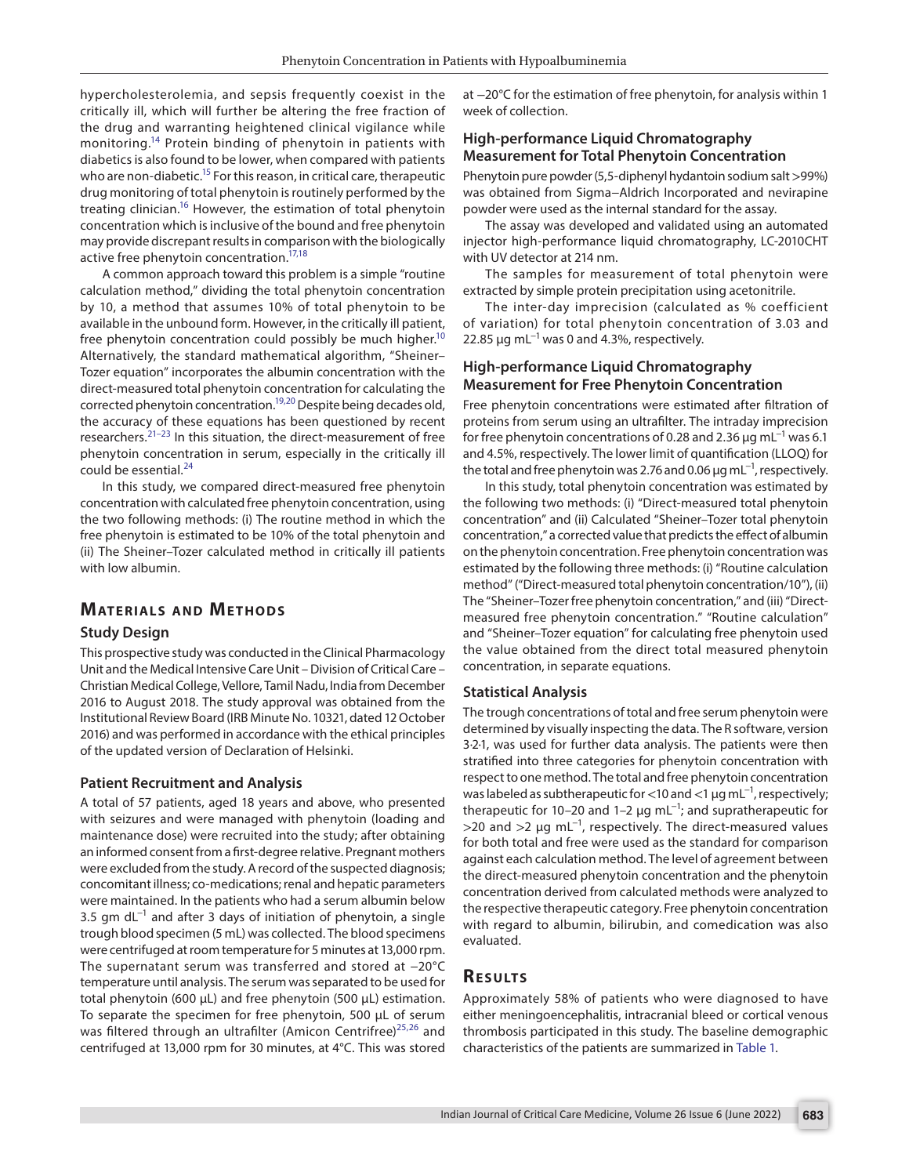hypercholesterolemia, and sepsis frequently coexist in the critically ill, which will further be altering the free fraction of the drug and warranting heightened clinical vigilance while monitoring[.14](#page-4-12) Protein binding of phenytoin in patients with diabetics is also found to be lower, when compared with patients who are non-diabetic.<sup>15</sup> For this reason, in critical care, therapeutic drug monitoring of total phenytoin is routinely performed by the treating clinician[.16](#page-4-14) However, the estimation of total phenytoin concentration which is inclusive of the bound and free phenytoin may provide discrepant results in comparison with the biologically active free phenytoin concentration[.17,](#page-4-15)[18](#page-4-16)

A common approach toward this problem is a simple "routine calculation method," dividing the total phenytoin concentration by 10, a method that assumes 10% of total phenytoin to be available in the unbound form. However, in the critically ill patient, free phenytoin concentration could possibly be much higher.<sup>10</sup> Alternatively, the standard mathematical algorithm, "Sheiner– Tozer equation" incorporates the albumin concentration with the direct-measured total phenytoin concentration for calculating the corrected phenytoin concentration[.19](#page-4-17),[20](#page-5-0) Despite being decades old, the accuracy of these equations has been questioned by recent researchers.[21–](#page-5-1)[23](#page-5-2) In this situation, the direct-measurement of free phenytoin concentration in serum, especially in the critically ill could be essential.<sup>[24](#page-5-3)</sup>

In this study, we compared direct-measured free phenytoin concentration with calculated free phenytoin concentration, using the two following methods: (i) The routine method in which the free phenytoin is estimated to be 10% of the total phenytoin and (ii) The Sheiner–Tozer calculated method in critically ill patients with low albumin.

# **MATERIALS AND METHODS**

#### **Study Design**

This prospective study was conducted in the Clinical Pharmacology Unit and the Medical Intensive Care Unit – Division of Critical Care – Christian Medical College, Vellore, Tamil Nadu, India from December 2016 to August 2018. The study approval was obtained from the Institutional Review Board (IRB Minute No. 10321, dated 12 October 2016) and was performed in accordance with the ethical principles of the updated version of Declaration of Helsinki.

#### **Patient Recruitment and Analysis**

A total of 57 patients, aged 18 years and above, who presented with seizures and were managed with phenytoin (loading and maintenance dose) were recruited into the study; after obtaining an informed consent from a first-degree relative. Pregnant mothers were excluded from the study. A record of the suspected diagnosis; concomitant illness; co-medications; renal and hepatic parameters were maintained. In the patients who had a serum albumin below 3.5 gm dL<sup>-1</sup> and after 3 days of initiation of phenytoin, a single trough blood specimen (5 mL) was collected. The blood specimens were centrifuged at room temperature for 5 minutes at 13,000 rpm. The supernatant serum was transferred and stored at −20°C temperature until analysis. The serum was separated to be used for total phenytoin (600 μL) and free phenytoin (500 μL) estimation. To separate the specimen for free phenytoin, 500 μL of serum was filtered through an ultrafilter (Amicon Centrifree)<sup>25,[26](#page-5-5)</sup> and centrifuged at 13,000 rpm for 30 minutes, at 4°C. This was stored

at −20°C for the estimation of free phenytoin, for analysis within 1 week of collection.

## **High-performance Liquid Chromatography Measurement for Total Phenytoin Concentration**

Phenytoin pure powder (5,5-diphenyl hydantoin sodium salt >99%) was obtained from Sigma−Aldrich Incorporated and nevirapine powder were used as the internal standard for the assay.

The assay was developed and validated using an automated injector high-performance liquid chromatography, LC-2010CHT with UV detector at 214 nm.

The samples for measurement of total phenytoin were extracted by simple protein precipitation using acetonitrile.

The inter-day imprecision (calculated as % coefficient of variation) for total phenytoin concentration of 3.03 and 22.85  $\mu$ g mL<sup>-1</sup> was 0 and 4.3%, respectively.

## **High-performance Liquid Chromatography Measurement for Free Phenytoin Concentration**

Free phenytoin concentrations were estimated after filtration of proteins from serum using an ultrafilter. The intraday imprecision for free phenytoin concentrations of 0.28 and 2.36  $\mu$ g mL<sup>-1</sup> was 6.1 and 4.5%, respectively. The lower limit of quantification (LLOQ) for the total and free phenytoin was 2.76 and 0.06  $\mu$ g mL<sup>-1</sup>, respectively.

In this study, total phenytoin concentration was estimated by the following two methods: (i) "Direct-measured total phenytoin concentration" and (ii) Calculated "Sheiner–Tozer total phenytoin concentration," a corrected value that predicts the effect of albumin on the phenytoin concentration. Free phenytoin concentration was estimated by the following three methods: (i) "Routine calculation method" ("Direct-measured total phenytoin concentration/10"), (ii) The "Sheiner–Tozer free phenytoin concentration," and (iii) "Directmeasured free phenytoin concentration." "Routine calculation" and "Sheiner–Tozer equation" for calculating free phenytoin used the value obtained from the direct total measured phenytoin concentration, in separate equations.

#### **Statistical Analysis**

The trough concentrations of total and free serum phenytoin were determined by visually inspecting the data. The R software, version 3·2·1, was used for further data analysis. The patients were then stratified into three categories for phenytoin concentration with respect to one method. The total and free phenytoin concentration was labeled as subtherapeutic for <10 and <1  $\mu$ g mL<sup>-1</sup>, respectively; therapeutic for 10–20 and 1–2  $\mu$ g mL<sup>-1</sup>; and supratherapeutic for  $>$ 20 and  $>$ 2 µg mL<sup>-1</sup>, respectively. The direct-measured values for both total and free were used as the standard for comparison against each calculation method. The level of agreement between the direct-measured phenytoin concentration and the phenytoin concentration derived from calculated methods were analyzed to the respective therapeutic category. Free phenytoin concentration with regard to albumin, bilirubin, and comedication was also evaluated.

#### **RESULTS**

Approximately 58% of patients who were diagnosed to have either meningoencephalitis, intracranial bleed or cortical venous thrombosis participated in this study. The baseline demographic characteristics of the patients are summarized in [Table 1](#page-2-0).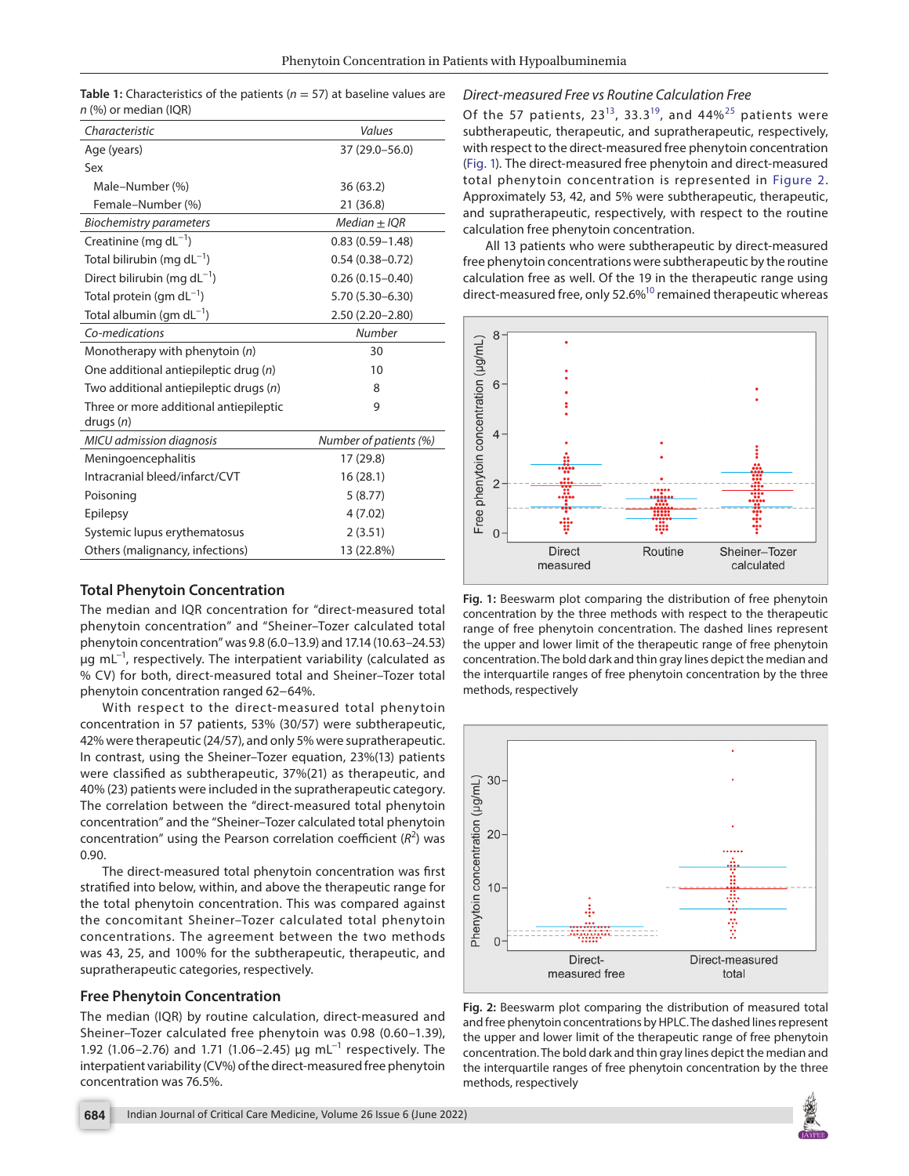<span id="page-2-0"></span>**Table 1:** Characteristics of the patients (*n* = 57) at baseline values are *n* (%) or median (IQR)

| Values                 |
|------------------------|
| 37 (29.0-56.0)         |
|                        |
| 36(63.2)               |
| 21 (36.8)              |
| $Median + IOR$         |
| $0.83(0.59 - 1.48)$    |
| $0.54(0.38 - 0.72)$    |
| $0.26(0.15 - 0.40)$    |
| 5.70 (5.30-6.30)       |
| 2.50 (2.20-2.80)       |
| <b>Number</b>          |
| 30                     |
| 10                     |
| 8                      |
| 9                      |
|                        |
| Number of patients (%) |
| 17 (29.8)              |
| 16(28.1)               |
| 5(8.77)                |
| 4(7.02)                |
| 2(3.51)                |
| 13 (22.8%)             |
|                        |

## **Total Phenytoin Concentration**

The median and IQR concentration for "direct-measured total phenytoin concentration" and "Sheiner–Tozer calculated total phenytoin concentration" was 9.8 (6.0–13.9) and 17.14 (10.63–24.53) μg mL−1, respectively. The interpatient variability (calculated as % CV) for both, direct-measured total and Sheiner–Tozer total phenytoin concentration ranged 62−64%.

With respect to the direct-measured total phenytoin concentration in 57 patients, 53% (30/57) were subtherapeutic, 42% were therapeutic (24/57), and only 5% were supratherapeutic. In contrast, using the Sheiner–Tozer equation, 23%(13) patients were classified as subtherapeutic, 37%(21) as therapeutic, and 40% (23) patients were included in the supratherapeutic category. The correlation between the "direct-measured total phenytoin concentration" and the "Sheiner–Tozer calculated total phenytoin concentration" using the Pearson correlation coefficient (R<sup>2</sup>) was 0.90.

The direct-measured total phenytoin concentration was first stratified into below, within, and above the therapeutic range for the total phenytoin concentration. This was compared against the concomitant Sheiner–Tozer calculated total phenytoin concentrations. The agreement between the two methods was 43, 25, and 100% for the subtherapeutic, therapeutic, and supratherapeutic categories, respectively.

#### **Free Phenytoin Concentration**

The median (IQR) by routine calculation, direct-measured and Sheiner–Tozer calculated free phenytoin was 0.98 (0.60–1.39), 1.92 (1.06–2.76) and 1.71 (1.06–2.45) μg mL<sup>-1</sup> respectively. The interpatient variability (CV%) of the direct-measured free phenytoin concentration was 76.5%.

#### *Direct-measured Free vs Routine Calculation Free*

Of the 57 patients,  $23^{13}$ , 33.3<sup>19</sup>, and 44%<sup>25</sup> patients were subtherapeutic, therapeutic, and supratherapeutic, respectively, with respect to the direct-measured free phenytoin concentration [\(Fig. 1\)](#page-2-1)*.* The direct-measured free phenytoin and direct-measured total phenytoin concentration is represented in [Figure 2](#page-2-2). Approximately 53, 42, and 5% were subtherapeutic, therapeutic, and supratherapeutic, respectively, with respect to the routine calculation free phenytoin concentration.

All 13 patients who were subtherapeutic by direct-measured free phenytoin concentrations were subtherapeutic by the routine calculation free as well. Of the 19 in the therapeutic range using direct-measured free, only 52.6%<sup>10</sup> remained therapeutic whereas



<span id="page-2-1"></span>**Fig. 1:** Beeswarm plot comparing the distribution of free phenytoin concentration by the three methods with respect to the therapeutic range of free phenytoin concentration. The dashed lines represent the upper and lower limit of the therapeutic range of free phenytoin concentration. The bold dark and thin gray lines depict the median and the interquartile ranges of free phenytoin concentration by the three methods, respectively



<span id="page-2-2"></span>**Fig. 2:** Beeswarm plot comparing the distribution of measured total and free phenytoin concentrations by HPLC. The dashed lines represent the upper and lower limit of the therapeutic range of free phenytoin concentration. The bold dark and thin gray lines depict the median and the interquartile ranges of free phenytoin concentration by the three methods, respectively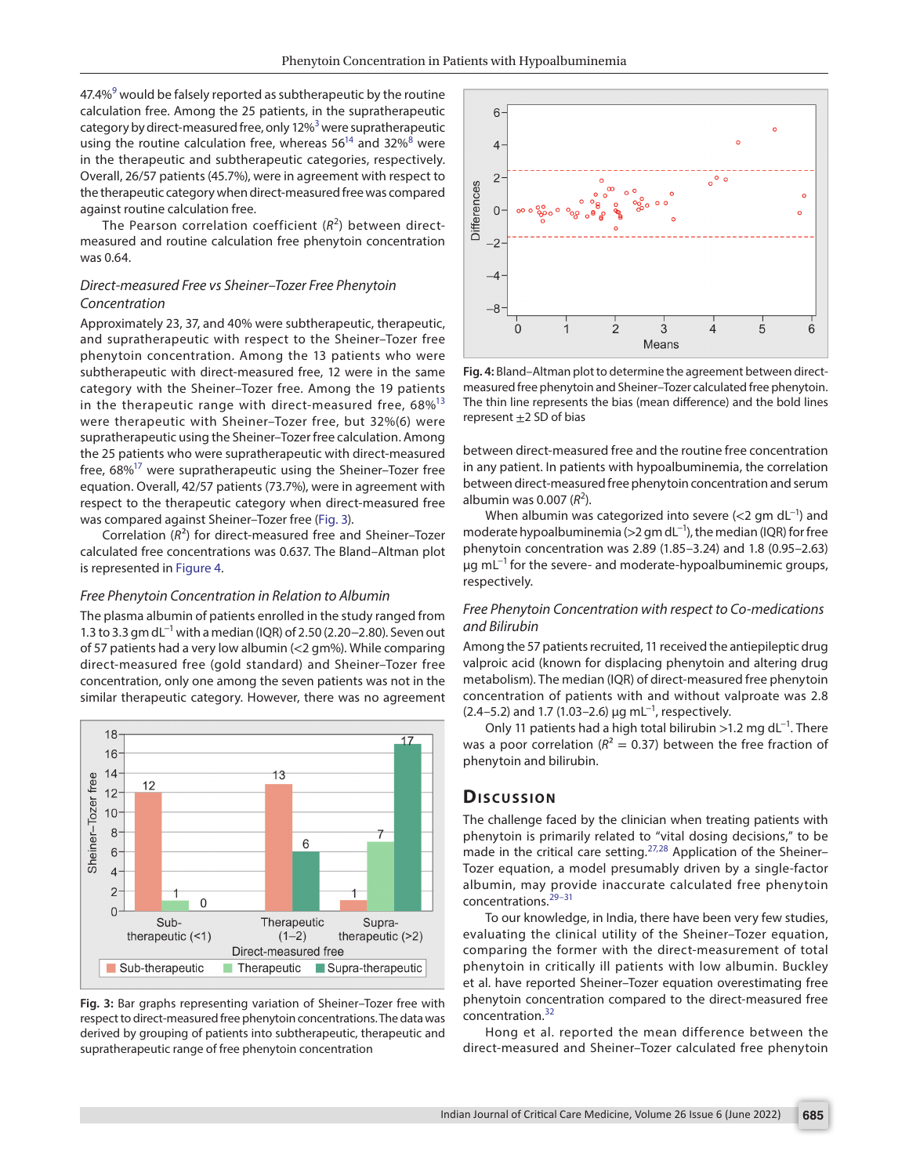47.4%<sup>[9](#page-4-8)</sup> would be falsely reported as subtherapeutic by the routine calculation free. Among the 25 patients, in the supratherapeutic category by direct-measured free, only 12%<sup>3</sup> were supratherapeutic using the routine calculation free, whereas  $56^{14}$  and  $32\%$ <sup>[8](#page-4-7)</sup> were in the therapeutic and subtherapeutic categories, respectively. Overall, 26/57 patients (45.7%), were in agreement with respect to the therapeutic category when direct-measured free was compared against routine calculation free.

The Pearson correlation coefficient (R<sup>2</sup>) between directmeasured and routine calculation free phenytoin concentration was 0.64.

#### *Direct-measured Free vs Sheiner–Tozer Free Phenytoin Concentration*

Approximately 23, 37, and 40% were subtherapeutic, therapeutic, and supratherapeutic with respect to the Sheiner–Tozer free phenytoin concentration. Among the 13 patients who were subtherapeutic with direct-measured free, 12 were in the same category with the Sheiner–Tozer free. Among the 19 patients in the therapeutic range with direct-measured free,  $68\%$ <sup>[13](#page-4-11)</sup> were therapeutic with Sheiner–Tozer free, but 32%(6) were supratherapeutic using the Sheiner–Tozer free calculation. Among the 25 patients who were supratherapeutic with direct-measured free, 68%<sup>17</sup> were supratherapeutic using the Sheiner–Tozer free equation. Overall, 42/57 patients (73.7%), were in agreement with respect to the therapeutic category when direct-measured free was compared against Sheiner–Tozer free ([Fig. 3](#page-3-0)).

Correlation (*R*²) for direct-measured free and Sheiner–Tozer calculated free concentrations was 0.637. The Bland–Altman plot is represented in [Figure 4.](#page-3-1)

#### *Free Phenytoin Concentration in Relation to Albumin*

The plasma albumin of patients enrolled in the study ranged from 1.3 to 3.3 gm dL<sup>-1</sup> with a median (IQR) of 2.50 (2.20–2.80). Seven out of 57 patients had a very low albumin (<2 gm%). While comparing direct-measured free (gold standard) and Sheiner–Tozer free concentration, only one among the seven patients was not in the similar therapeutic category. However, there was no agreement



<span id="page-3-0"></span>**Fig. 3:** Bar graphs representing variation of Sheiner–Tozer free with respect to direct-measured free phenytoin concentrations. The data was derived by grouping of patients into subtherapeutic, therapeutic and supratherapeutic range of free phenytoin concentration



<span id="page-3-1"></span>**Fig. 4:** Bland–Altman plot to determine the agreement between directmeasured free phenytoin and Sheiner–Tozer calculated free phenytoin. The thin line represents the bias (mean difference) and the bold lines represent  $\pm 2$  SD of bias

between direct-measured free and the routine free concentration in any patient. In patients with hypoalbuminemia, the correlation between direct-measured free phenytoin concentration and serum albumin was 0.007 (R<sup>2</sup>).

When albumin was categorized into severe (<2 gm dL<sup>-1</sup>) and moderate hypoalbuminemia (>2 gm dL<sup>-1</sup>), the median (IQR) for free phenytoin concentration was 2.89 (1.85–3.24) and 1.8 (0.95–2.63)  $\mu$ g mL<sup>-1</sup> for the severe- and moderate-hypoalbuminemic groups, respectively.

## *Free Phenytoin Concentration with respect to Co-medications and Bilirubin*

Among the 57 patients recruited, 11 received the antiepileptic drug valproic acid (known for displacing phenytoin and altering drug metabolism). The median (IQR) of direct-measured free phenytoin concentration of patients with and without valproate was 2.8 (2.4–5.2) and 1.7 (1.03–2.6)  $\mu$ g mL<sup>-1</sup>, respectively.

Only 11 patients had a high total bilirubin >1.2 mg dL<sup>-1</sup>. There was a poor correlation ( $R^2 = 0.37$ ) between the free fraction of phenytoin and bilirubin.

## **Dis c u s sio n**

The challenge faced by the clinician when treating patients with phenytoin is primarily related to "vital dosing decisions," to be made in the critical care setting.<sup>[27](#page-5-6),[28](#page-5-7)</sup> Application of the Sheiner-Tozer equation, a model presumably driven by a single-factor albumin, may provide inaccurate calculated free phenytoin concentrations.[29–](#page-5-8)[31](#page-5-9)

To our knowledge, in India, there have been very few studies, evaluating the clinical utility of the Sheiner–Tozer equation, comparing the former with the direct-measurement of total phenytoin in critically ill patients with low albumin. Buckley et al. have reported Sheiner–Tozer equation overestimating free phenytoin concentration compared to the direct-measured free concentration.<sup>[32](#page-5-10)</sup>

Hong et al. reported the mean difference between the direct-measured and Sheiner–Tozer calculated free phenytoin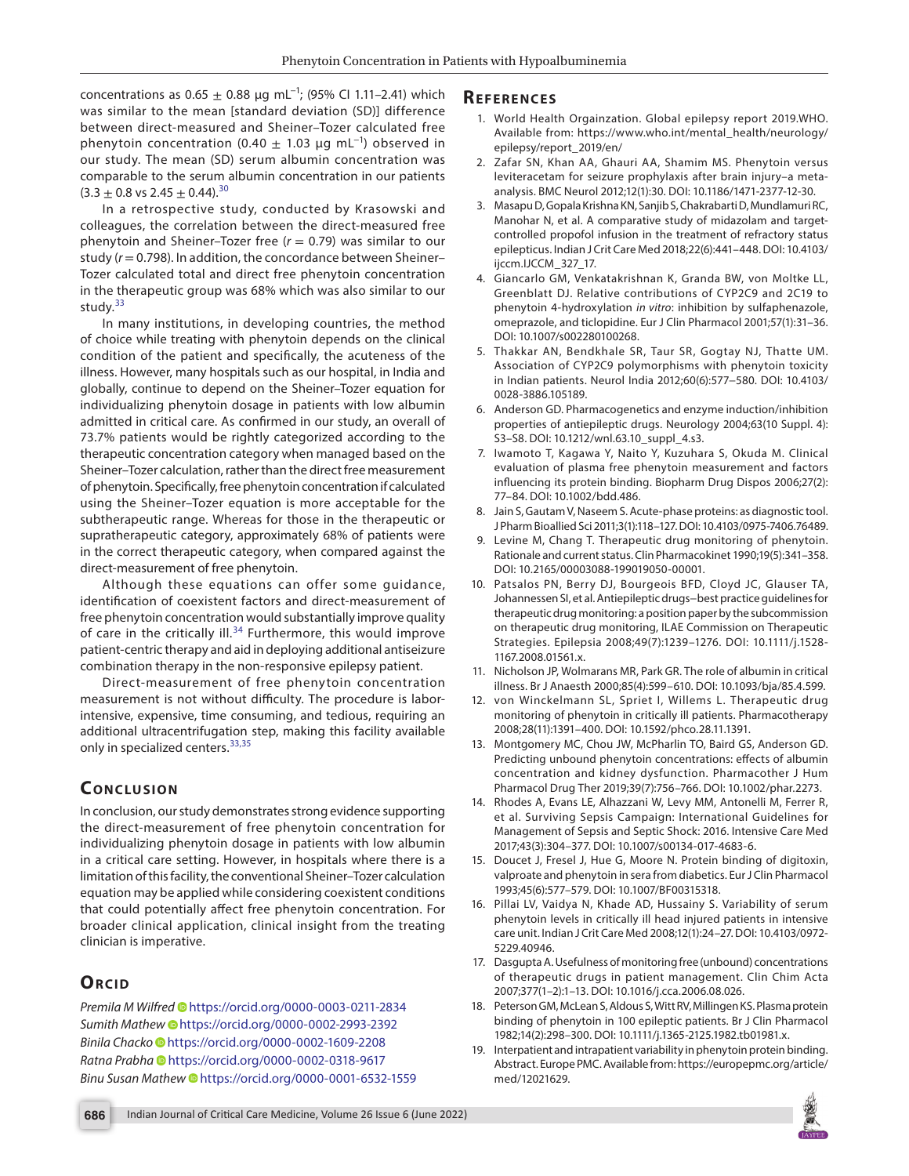concentrations as  $0.65 \pm 0.88$  μg mL<sup>-1</sup>; (95% Cl 1.11–2.41) which was similar to the mean [standard deviation (SD)] difference between direct-measured and Sheiner–Tozer calculated free phenytoin concentration (0.40  $\pm$  1.03 µg mL<sup>-1</sup>) observed in our study. The mean (SD) serum albumin concentration was comparable to the serum albumin concentration in our patients  $(3.3 \pm 0.8 \text{ vs } 2.45 \pm 0.44).^{30}$  $(3.3 \pm 0.8 \text{ vs } 2.45 \pm 0.44).^{30}$  $(3.3 \pm 0.8 \text{ vs } 2.45 \pm 0.44).^{30}$ 

In a retrospective study, conducted by Krasowski and colleagues, the correlation between the direct-measured free phenytoin and Sheiner–Tozer free (*r* = 0.79) was similar to our study (*r* = 0.798). In addition, the concordance between Sheiner– Tozer calculated total and direct free phenytoin concentration in the therapeutic group was 68% which was also similar to our study.<sup>[33](#page-5-12)</sup>

In many institutions, in developing countries, the method of choice while treating with phenytoin depends on the clinical condition of the patient and specifically, the acuteness of the illness. However, many hospitals such as our hospital, in India and globally, continue to depend on the Sheiner–Tozer equation for individualizing phenytoin dosage in patients with low albumin admitted in critical care. As confirmed in our study, an overall of 73.7% patients would be rightly categorized according to the therapeutic concentration category when managed based on the Sheiner–Tozer calculation, rather than the direct free measurement of phenytoin. Specifically, free phenytoin concentration if calculated using the Sheiner–Tozer equation is more acceptable for the subtherapeutic range. Whereas for those in the therapeutic or supratherapeutic category, approximately 68% of patients were in the correct therapeutic category, when compared against the direct-measurement of free phenytoin.

Although these equations can offer some guidance, identification of coexistent factors and direct-measurement of free phenytoin concentration would substantially improve quality of care in the critically ill. $34$  Furthermore, this would improve patient-centric therapy and aid in deploying additional antiseizure combination therapy in the non-responsive epilepsy patient.

Direct-measurement of free phenytoin concentration measurement is not without difficulty. The procedure is laborintensive, expensive, time consuming, and tedious, requiring an additional ultracentrifugation step, making this facility available only in specialized centers.<sup>[33](#page-5-12),[35](#page-5-14)</sup>

# **CONCLUSION**

In conclusion, our study demonstrates strong evidence supporting the direct-measurement of free phenytoin concentration for individualizing phenytoin dosage in patients with low albumin in a critical care setting. However, in hospitals where there is a limitation of this facility, the conventional Sheiner–Tozer calculation equation may be applied while considering coexistent conditions that could potentially affect free phenytoin concentration. For broader clinical application, clinical insight from the treating clinician is imperative.

# **ORCID**

*Premila M Wilfred* [h](https://orcid.org/0000-0003-0211-2834)ttps://orcid.org/0000-0003-0211-2834 *Sumith Mathe[w](https://orcid.org/0000-0002-2993-2392)* https://orcid.org/0000-0002-2993-2392 *Binila Chacko* [h](https://orcid.org/0000-0002-1609-2208)ttps://orcid.org/0000-0002-1609-2208 *Ratna Prabha* [h](https://orcid.org/0000-0002-0318-9617)ttps://orcid.org/0000-0002-0318-9617 *Binu Susan Mathew* [h](https://orcid.org/0000-0001-6532-1559)ttps://orcid.org/0000-0001-6532-1559

## **Re f e r e n c e s**

- <span id="page-4-0"></span>1. World Health Orgainzation. Global epilepsy report 2019.WHO. Available from: https://www.who.int/mental\_health/neurology/ epilepsy/report\_2019/en/
- <span id="page-4-1"></span>2. Zafar SN, Khan AA, Ghauri AA, Shamim MS. Phenytoin versus leviteracetam for seizure prophylaxis after brain injury–a metaanalysis. BMC Neurol 2012;12(1):30. DOI: 10.1186/1471-2377-12-30.
- <span id="page-4-2"></span>3. Masapu D, Gopala Krishna KN, Sanjib S, Chakrabarti D, Mundlamuri RC, Manohar N, et al. A comparative study of midazolam and targetcontrolled propofol infusion in the treatment of refractory status epilepticus. Indian J Crit Care Med 2018;22(6):441–448. DOI: 10.4103/ ijccm.IJCCM\_327\_17.
- <span id="page-4-3"></span>4. Giancarlo GM, Venkatakrishnan K, Granda BW, von Moltke LL, Greenblatt DJ. Relative contributions of CYP2C9 and 2C19 to phenytoin 4-hydroxylation *in vitro*: inhibition by sulfaphenazole, omeprazole, and ticlopidine. Eur J Clin Pharmacol 2001;57(1):31–36. DOI: 10.1007/s002280100268.
- <span id="page-4-4"></span>5. Thakkar AN, Bendkhale SR, Taur SR, Gogtay NJ, Thatte UM. Association of CYP2C9 polymorphisms with phenytoin toxicity in Indian patients. Neurol India 2012;60(6):577−580. DOI: 10.4103/ 0028-3886.105189.
- <span id="page-4-5"></span>6. Anderson GD. Pharmacogenetics and enzyme induction/inhibition properties of antiepileptic drugs. Neurology 2004;63(10 Suppl. 4): S3–S8. DOI: 10.1212/wnl.63.10\_suppl\_4.s3.
- <span id="page-4-6"></span>7. Iwamoto T, Kagawa Y, Naito Y, Kuzuhara S, Okuda M. Clinical evaluation of plasma free phenytoin measurement and factors influencing its protein binding. Biopharm Drug Dispos 2006;27(2): 77–84. DOI: 10.1002/bdd.486.
- <span id="page-4-7"></span>8. Jain S, Gautam V, Naseem S. Acute-phase proteins: as diagnostic tool. J Pharm Bioallied Sci 2011;3(1):118–127. DOI: 10.4103/0975-7406.76489.
- <span id="page-4-8"></span>Levine M, Chang T. Therapeutic drug monitoring of phenytoin. Rationale and current status. Clin Pharmacokinet 1990;19(5):341–358. DOI: 10.2165/00003088-199019050-00001.
- <span id="page-4-9"></span>10. Patsalos PN, Berry DJ, Bourgeois BFD, Cloyd JC, Glauser TA, Johannessen SI, et al. Antiepileptic drugs−best practice guidelines for therapeutic drug monitoring: a position paper by the subcommission on therapeutic drug monitoring, ILAE Commission on Therapeutic Strategies. Epilepsia 2008;49(7):1239–1276. DOI: 10.1111/j.1528- 1167.2008.01561.x.
- <span id="page-4-10"></span>11. Nicholson JP, Wolmarans MR, Park GR. The role of albumin in critical illness. Br J Anaesth 2000;85(4):599–610. DOI: 10.1093/bja/85.4.599.
- 12. von Winckelmann SL, Spriet I, Willems L. Therapeutic drug monitoring of phenytoin in critically ill patients. Pharmacotherapy 2008;28(11):1391–400. DOI: 10.1592/phco.28.11.1391.
- <span id="page-4-11"></span>13. Montgomery MC, Chou JW, McPharlin TO, Baird GS, Anderson GD. Predicting unbound phenytoin concentrations: effects of albumin concentration and kidney dysfunction. Pharmacother J Hum Pharmacol Drug Ther 2019;39(7):756–766. DOI: 10.1002/phar.2273.
- <span id="page-4-12"></span>14. Rhodes A, Evans LE, Alhazzani W, Levy MM, Antonelli M, Ferrer R, et al. Surviving Sepsis Campaign: International Guidelines for Management of Sepsis and Septic Shock: 2016. Intensive Care Med 2017;43(3):304–377. DOI: 10.1007/s00134-017-4683-6.
- <span id="page-4-13"></span>15. Doucet J, Fresel J, Hue G, Moore N. Protein binding of digitoxin, valproate and phenytoin in sera from diabetics. Eur J Clin Pharmacol 1993;45(6):577–579. DOI: 10.1007/BF00315318.
- <span id="page-4-14"></span>16. Pillai LV, Vaidya N, Khade AD, Hussainy S. Variability of serum phenytoin levels in critically ill head injured patients in intensive care unit. Indian J Crit Care Med 2008;12(1):24–27. DOI: 10.4103/0972- 5229.40946.
- <span id="page-4-15"></span>17. Dasgupta A. Usefulness of monitoring free (unbound) concentrations of therapeutic drugs in patient management. Clin Chim Acta 2007;377(1–2):1–13. DOI: 10.1016/j.cca.2006.08.026.
- <span id="page-4-16"></span>18. Peterson GM, McLean S, Aldous S, Witt RV, Millingen KS. Plasma protein binding of phenytoin in 100 epileptic patients. Br J Clin Pharmacol 1982;14(2):298–300. DOI: 10.1111/j.1365-2125.1982.tb01981.x.
- <span id="page-4-17"></span>19. Interpatient and intrapatient variability in phenytoin protein binding. Abstract. Europe PMC. Available from: https://europepmc.org/article/ med/12021629.